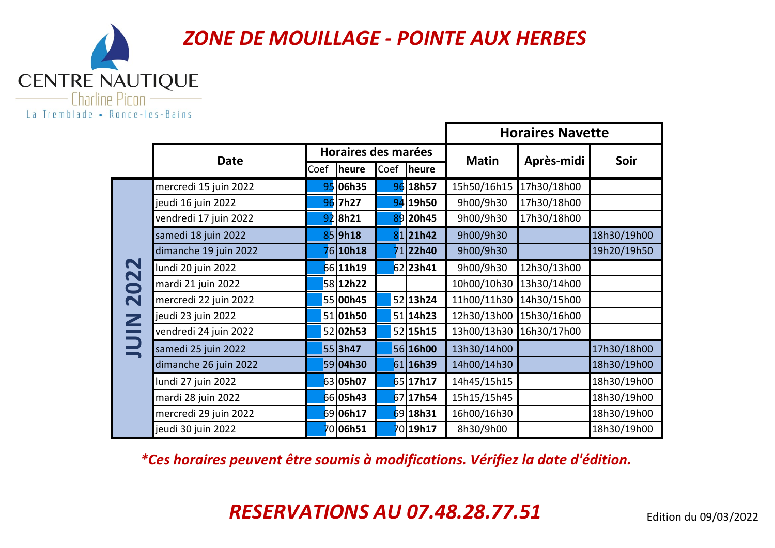

|                          |                       |      |                     |      |                 | <b>Horaires Navette</b> |             |             |  |
|--------------------------|-----------------------|------|---------------------|------|-----------------|-------------------------|-------------|-------------|--|
|                          | <b>Date</b>           |      | Horaires des marées |      |                 | <b>Matin</b>            | Après-midi  | Soir        |  |
|                          |                       | Coef | heure               | Coef | heure           |                         |             |             |  |
|                          | mercredi 15 juin 2022 |      | 95 06h35            |      | 96 18h57        | 15h50/16h15             | 17h30/18h00 |             |  |
|                          | jeudi 16 juin 2022    |      | 96 7h27             |      | 94 19h50        | 9h00/9h30               | 17h30/18h00 |             |  |
|                          | vendredi 17 juin 2022 |      | $92$  8h21          |      | 89 20h45        | 9h00/9h30               | 17h30/18h00 |             |  |
|                          | samedi 18 juin 2022   |      | 85 9h18             |      | 8121h42         | 9h00/9h30               |             | 18h30/19h00 |  |
|                          | dimanche 19 juin 2022 |      | 6 <b>10h18</b>      |      | 71 <b>22h40</b> | 9h00/9h30               |             | 19h20/19h50 |  |
| 022                      | lundi 20 juin 2022    |      | 66 11h19            |      | $62$  23h41     | 9h00/9h30               | 12h30/13h00 |             |  |
|                          | mardi 21 juin 2022    |      | 58 12h22            |      |                 | 10h00/10h30             | 13h30/14h00 |             |  |
| $\overline{\mathbf{N}}$  | mercredi 22 juin 2022 |      | 55 00h45            |      | 52 13h24        | 11h00/11h30             | 14h30/15h00 |             |  |
| $\mathbf{\underline{Z}}$ | jeudi 23 juin 2022    |      | 51 01h50            |      | 51 14h23        | 12h30/13h00             | 15h30/16h00 |             |  |
|                          | vendredi 24 juin 2022 |      | 52 02h53            |      | 52 15h15        | 13h00/13h30             | 16h30/17h00 |             |  |
| $\Xi$                    | samedi 25 juin 2022   |      | 553h47              |      | 56 16h00        | 13h30/14h00             |             | 17h30/18h00 |  |
|                          | dimanche 26 juin 2022 |      | 59 04h30            |      | 61 16h39        | 14h00/14h30             |             | 18h30/19h00 |  |
|                          | lundi 27 juin 2022    |      | 63 05h07            |      | 65 17h17        | 14h45/15h15             |             | 18h30/19h00 |  |
|                          | mardi 28 juin 2022    |      | 66 05h43            |      | 67 17h54        | 15h15/15h45             |             | 18h30/19h00 |  |
|                          | mercredi 29 juin 2022 |      | 69 06h17            |      | 69 18h31        | 16h00/16h30             |             | 18h30/19h00 |  |
|                          | jeudi 30 juin 2022    |      | 0 <b>06h51</b>      |      | 70 19h17        | 8h30/9h00               |             | 18h30/19h00 |  |

*\*Ces horaires peuvent être soumis à modifications. Vérifiez la date d'édition.*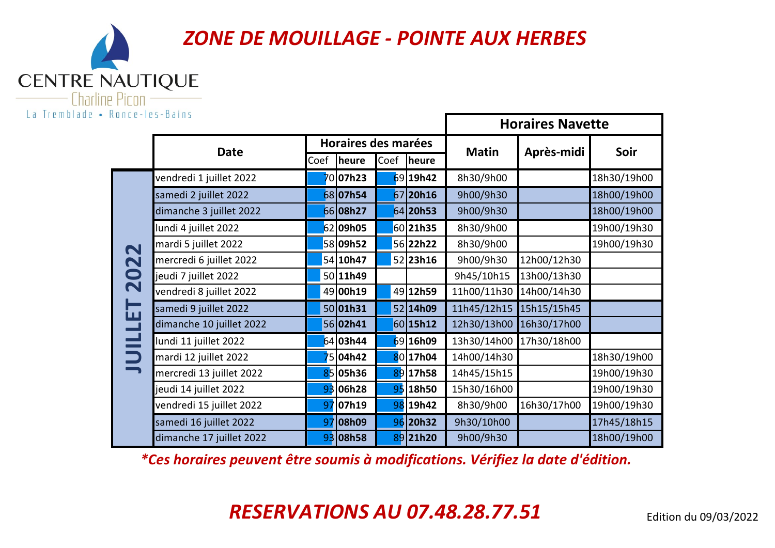CENTRE NAUTIQUE La Tremblade • Ronce-les-Bains

|                         |                          | <b>Horaires Navette</b> |                               |  |               |              |             |             |
|-------------------------|--------------------------|-------------------------|-------------------------------|--|---------------|--------------|-------------|-------------|
|                         | <b>Date</b>              |                         | Horaires des marées           |  |               | <b>Matin</b> |             | Soir        |
|                         |                          |                         | Coef<br>Coef<br><b>Iheure</b> |  | <b>Theure</b> |              | Après-midi  |             |
|                         | vendredi 1 juillet 2022  |                         | 70 <b>07h23</b>               |  | $69$ 19h42    | 8h30/9h00    |             | 18h30/19h00 |
|                         | samedi 2 juillet 2022    |                         | 68 07h54                      |  | $67$  20h16   | 9h00/9h30    |             | 18h00/19h00 |
|                         | dimanche 3 juillet 2022  |                         | 66 08h27                      |  | 64 20h53      | 9h00/9h30    |             | 18h00/19h00 |
|                         | lundi 4 juillet 2022     |                         | 62 09h05                      |  | 60 21h35      | 8h30/9h00    |             | 19h00/19h30 |
| $\blacktriangleleft$    | mardi 5 juillet 2022     |                         | 58 09h52                      |  | 56 22h22      | 8h30/9h00    |             | 19h00/19h30 |
| $\mathbf N$             | mercredi 6 juillet 2022  |                         | 54 10h47                      |  | 52 23h16      | 9h00/9h30    | 12h00/12h30 |             |
| 20                      | jeudi 7 juillet 2022     |                         | 50 11h49                      |  |               | 9h45/10h15   | 13h00/13h30 |             |
|                         | vendredi 8 juillet 2022  |                         | 49 00h19                      |  | 49 12h59      | 11h00/11h30  | 14h00/14h30 |             |
| 互                       | samedi 9 juillet 2022    |                         | 50 01h31                      |  | 52 14h09      | 11h45/12h15  | 15h15/15h45 |             |
|                         | dimanche 10 juillet 2022 |                         | 56 02h41                      |  | 60 15h12      | 12h30/13h00  | 16h30/17h00 |             |
| $\blacksquare$          | lundi 11 juillet 2022    |                         | 64 03h44                      |  | 69 16h09      | 13h30/14h00  | 17h30/18h00 |             |
| $\overline{\mathbf{D}}$ | mardi 12 juillet 2022    |                         | 5 <b>04h42</b>                |  | 80 17h04      | 14h00/14h30  |             | 18h30/19h00 |
|                         | mercredi 13 juillet 2022 |                         | 85 05h36                      |  | 89 17h58      | 14h45/15h15  |             | 19h00/19h30 |
|                         | jeudi 14 juillet 2022    |                         | 93 06h28                      |  | 95 18h50      | 15h30/16h00  |             | 19h00/19h30 |
|                         | vendredi 15 juillet 2022 | 97                      | D7h19                         |  | 98 19h42      | 8h30/9h00    | 16h30/17h00 | 19h00/19h30 |
|                         | samedi 16 juillet 2022   |                         | 97 08h09                      |  | 96 20h32      | 9h30/10h00   |             | 17h45/18h15 |
|                         | dimanche 17 juillet 2022 |                         | 93 08h58                      |  | 89 21h20      | 9h00/9h30    |             | 18h00/19h00 |

*\*Ces horaires peuvent être soumis à modifications. Vérifiez la date d'édition.*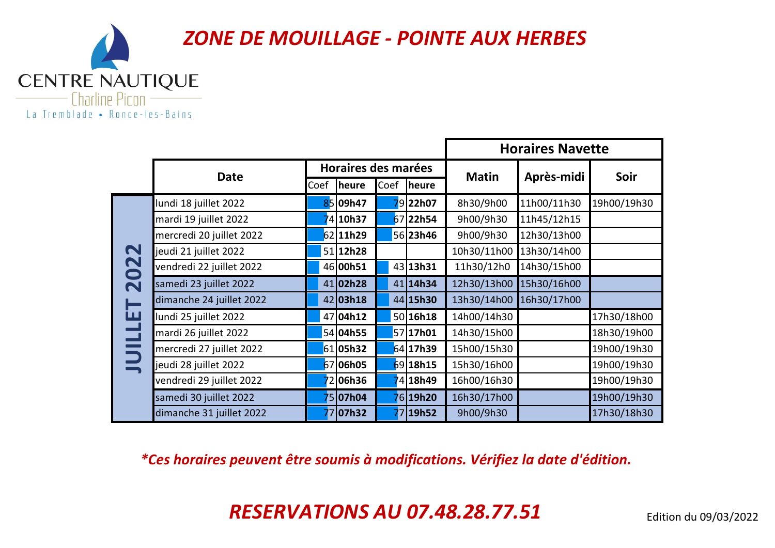

|             |                          |      |                     |      |              | <b>Horaires Navette</b> |             |             |  |
|-------------|--------------------------|------|---------------------|------|--------------|-------------------------|-------------|-------------|--|
|             | <b>Date</b>              |      | Horaires des marées |      |              | <b>Matin</b>            | Après-midi  | Soir        |  |
|             |                          | Coef | <b>heure</b>        | Coef | <b>heure</b> |                         |             |             |  |
|             | lundi 18 juillet 2022    |      | 85 09h47            |      | 79 22h07     | 8h30/9h00               | 11h00/11h30 | 19h00/19h30 |  |
|             | mardi 19 juillet 2022    |      | 74 10h37            |      | 67 22h54     | 9h00/9h30               | 11h45/12h15 |             |  |
|             | mercredi 20 juillet 2022 |      | 62 11h29            |      | 56 23h46     | 9h00/9h30               | 12h30/13h00 |             |  |
| $\mathbf N$ | jeudi 21 juillet 2022    |      | 51 12h28            |      |              | 10h30/11h00             | 13h30/14h00 |             |  |
| 202         | vendredi 22 juillet 2022 |      | 46 00h51            |      | 43 13h31     | 11h30/12h0              | 14h30/15h00 |             |  |
|             | samedi 23 juillet 2022   |      | 41 02h28            |      | 41 14h34     | 12h30/13h00             | 15h30/16h00 |             |  |
|             | dimanche 24 juillet 2022 |      | 42 03 h18           |      | 44 15h30     | 13h30/14h00             | 16h30/17h00 |             |  |
| 园           | lundi 25 juillet 2022    |      | 47 <b>04h12</b>     |      | 50 16h18     | 14h00/14h30             |             | 17h30/18h00 |  |
|             | mardi 26 juillet 2022    |      | 54 04h55            |      | 57 17h01     | 14h30/15h00             |             | 18h30/19h00 |  |
|             | mercredi 27 juillet 2022 |      | 61 05h32            |      | 64 17h39     | 15h00/15h30             |             | 19h00/19h30 |  |
|             | jeudi 28 juillet 2022    |      | 67 06h05            |      | 69 18h15     | 15h30/16h00             |             | 19h00/19h30 |  |
|             | vendredi 29 juillet 2022 |      | 2 06h36             |      | 418h49       | 16h00/16h30             |             | 19h00/19h30 |  |
|             | samedi 30 juillet 2022   |      | 75 <b>07h04</b>     |      | 76 19h20     | 16h30/17h00             |             | 19h00/19h30 |  |
|             | dimanche 31 juillet 2022 |      | 77 07h32            |      | 77 19h52     | 9h00/9h30               |             | 17h30/18h30 |  |

*\*Ces horaires peuvent être soumis à modifications. Vérifiez la date d'édition.*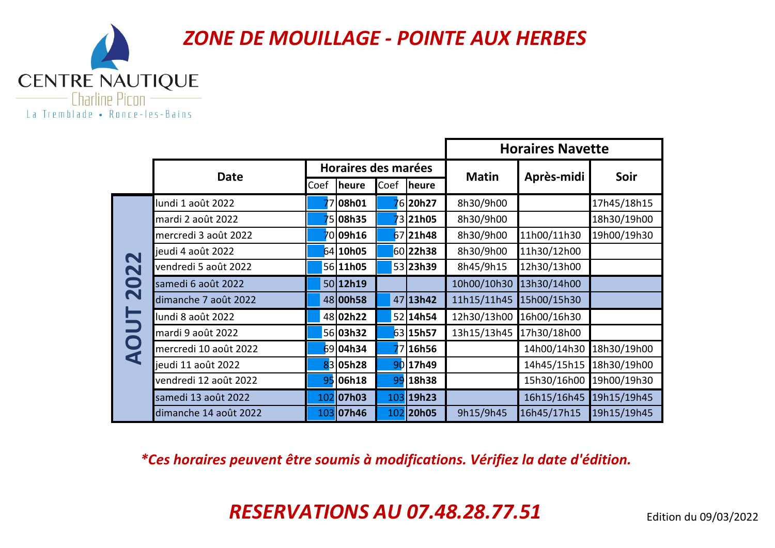

|                         |                       | <b>Horaires Navette</b> |                     |      |                |              |             |             |
|-------------------------|-----------------------|-------------------------|---------------------|------|----------------|--------------|-------------|-------------|
|                         | <b>Date</b>           |                         | Horaires des marées |      |                | <b>Matin</b> | Après-midi  | Soir        |
|                         |                       | Coef                    | <b>Theure</b>       | Coef | heure          |              |             |             |
|                         | lundi 1 août 2022     |                         | 7 <b>08h01</b>      |      | 6 <b>20h27</b> | 8h30/9h00    |             | 17h45/18h15 |
|                         | mardi 2 août 2022     |                         | 5 <b>08h35</b>      |      | 3 <b>21h05</b> | 8h30/9h00    |             | 18h30/19h00 |
|                         | mercredi 3 août 2022  |                         | 70 <b>09h16</b>     |      | 67 21h48       | 8h30/9h00    | 11h00/11h30 | 19h00/19h30 |
| $\mathbf N$             | jeudi 4 août 2022     |                         | 64 10h05            |      | 60 22h38       | 8h30/9h00    | 11h30/12h00 |             |
| $\overline{\mathbf{N}}$ | vendredi 5 août 2022  |                         | 56 11h05            |      | 53 23h39       | 8h45/9h15    | 12h30/13h00 |             |
| $\bullet$               | samedi 6 août 2022    |                         | 50 12h19            |      |                | 10h00/10h30  | 13h30/14h00 |             |
| $\overline{\mathbf{N}}$ | dimanche 7 août 2022  |                         | 48 00h58            |      | 47 13h42       | 11h15/11h45  | 15h00/15h30 |             |
|                         | lundi 8 août 2022     |                         | 48 02h22            |      | 52 14h54       | 12h30/13h00  | 16h00/16h30 |             |
|                         | mardi 9 août 2022     |                         | 56 <b>03h32</b>     |      | 63 15h57       | 13h15/13h45  | 17h30/18h00 |             |
| <b>AO</b>               | mercredi 10 août 2022 |                         | 69 04h34            |      | 16h56          |              | 14h00/14h30 | 18h30/19h00 |
|                         | jeudi 11 août 2022    |                         | 83 05h28            |      | 90 17h49       |              | 14h45/15h15 | 18h30/19h00 |
|                         | vendredi 12 août 2022 |                         | 95 06h18            | 99   | 18h38          |              | 15h30/16h00 | 19h00/19h30 |
|                         | samedi 13 août 2022   |                         | 102 07h03           |      | 103 19h23      |              | 16h15/16h45 | 19h15/19h45 |
|                         | dimanche 14 août 2022 |                         | 103 07h46           |      | 102 20h05      | 9h15/9h45    | 16h45/17h15 | 19h15/19h45 |

*\*Ces horaires peuvent être soumis à modifications. Vérifiez la date d'édition.*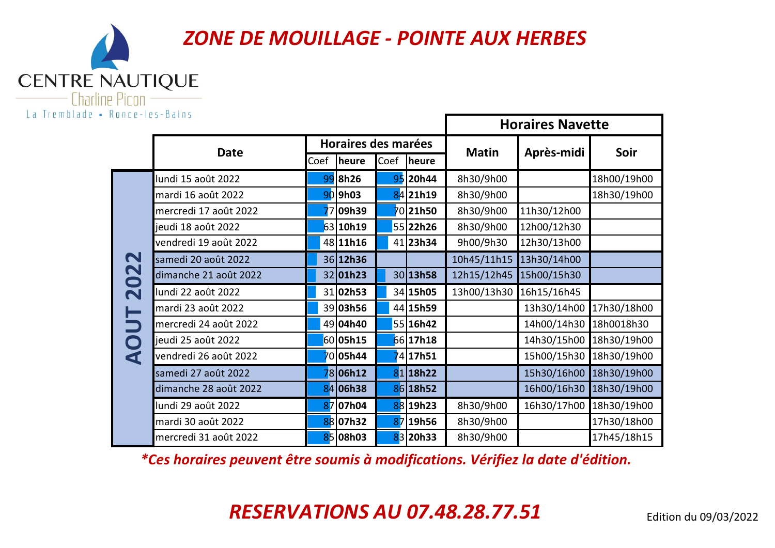

|                      |                       |      |                     |      |                     | <b>Horaires Navette</b> |             |             |  |
|----------------------|-----------------------|------|---------------------|------|---------------------|-------------------------|-------------|-------------|--|
|                      | <b>Date</b>           |      | Horaires des marées |      |                     | <b>Matin</b>            | Après-midi  | Soir        |  |
|                      |                       | Coef | <b>heure</b>        | Coef | <b>heure</b>        |                         |             |             |  |
|                      | lundi 15 août 2022    | 99   | <b>8h26</b>         |      | 95 20h44            | 8h30/9h00               |             | 18h00/19h00 |  |
|                      | mardi 16 août 2022    |      | $90$  9h03          |      | 84 21h19            | 8h30/9h00               |             | 18h30/19h00 |  |
|                      | mercredi 17 août 2022 |      | 09h39               |      | 70 <b>21h50</b>     | 8h30/9h00               | 11h30/12h00 |             |  |
|                      | jeudi 18 août 2022    |      | 63 10h19            |      | 55 22h26            | 8h30/9h00               | 12h00/12h30 |             |  |
|                      | vendredi 19 août 2022 |      | 48 11h16            |      | 41 23h34            | 9h00/9h30               | 12h30/13h00 |             |  |
| $\mathbf N$          | samedi 20 août 2022   |      | 36 12h36            |      |                     | 10h45/11h15             | 13h30/14h00 |             |  |
| 202                  | dimanche 21 août 2022 |      | 32 01h23            |      | 30 13h58            | 12h15/12h45             | 15h00/15h30 |             |  |
|                      | lundi 22 août 2022    |      | 31 02h53            |      | 34 15h05            | 13h00/13h30             | 16h15/16h45 |             |  |
|                      | mardi 23 août 2022    |      | 39 03h56            |      | 44 15h59            |                         | 13h30/14h00 | 17h30/18h00 |  |
|                      | mercredi 24 août 2022 |      | 49 04h40            |      | 55 16h42            |                         | 14h00/14h30 | 18h0018h30  |  |
| $\mathbf O$          | jeudi 25 août 2022    |      | 60 05h15            |      | 66 17h18            |                         | 14h30/15h00 | 18h30/19h00 |  |
| $\blacktriangleleft$ | vendredi 26 août 2022 |      | 70 <b>05h44</b>     |      | 417h51 <sup>'</sup> |                         | 15h00/15h30 | 18h30/19h00 |  |
|                      | samedi 27 août 2022   |      | 78 <b>06h12</b>     |      | $81$  18h22         |                         | 15h30/16h00 | 18h30/19h00 |  |
|                      | dimanche 28 août 2022 |      | 84 06h38            |      | 86 18h52            |                         | 16h00/16h30 | 18h30/19h00 |  |
|                      | lundi 29 août 2022    |      | 87 07h04            |      | 88 19h23            | 8h30/9h00               | 16h30/17h00 | 18h30/19h00 |  |
|                      | mardi 30 août 2022    |      | 88 07h32            |      | 87 19h56            | 8h30/9h00               |             | 17h30/18h00 |  |
|                      | mercredi 31 août 2022 |      | 85 08h03            |      | 83 20h33            | 8h30/9h00               |             | 17h45/18h15 |  |

*\*Ces horaires peuvent être soumis à modifications. Vérifiez la date d'édition.*